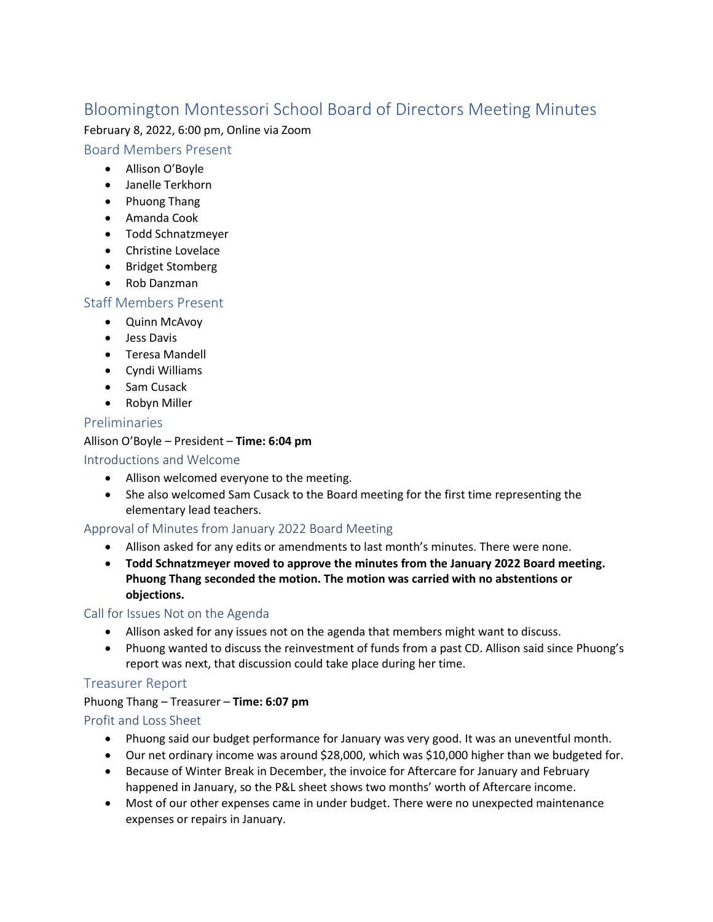# Bloomington Montessori School Board of Directors Meeting Minutes

February 8, 2022, 6:00 pm, Online via Zoom

## Board Members Present

- Allison O'Boyle
- Janelle Terkhorn
- Phuong Thang
- Amanda Cook
- Todd Schnatzmeyer
- Christine Lovelace
- Bridget Stomberg
- Rob Danzman

## Staff Members Present

- Quinn McAvoy
- Jess Davis
- Teresa Mandell
- Cyndi Williams
- Sam Cusack
- Robyn Miller

## Preliminaries

## Allison O'Boyle – President – **Time: 6:04 pm**

Introductions and Welcome

- Allison welcomed everyone to the meeting.
- She also welcomed Sam Cusack to the Board meeting for the first time representing the elementary lead teachers.

## Approval of Minutes from January 2022 Board Meeting

- Allison asked for any edits or amendments to last month's minutes. There were none.
- **Todd Schnatzmeyer moved to approve the minutes from the January 2022 Board meeting. Phuong Thang seconded the motion. The motion was carried with no abstentions or objections.**

### Call for Issues Not on the Agenda

- Allison asked for any issues not on the agenda that members might want to discuss.
- Phuong wanted to discuss the reinvestment of funds from a past CD. Allison said since Phuong's report was next, that discussion could take place during her time.

## Treasurer Report

## Phuong Thang – Treasurer – **Time: 6:07 pm**

## Profit and Loss Sheet

- Phuong said our budget performance for January was very good. It was an uneventful month.
- Our net ordinary income was around \$28,000, which was \$10,000 higher than we budgeted for.
- Because of Winter Break in December, the invoice for Aftercare for January and February happened in January, so the P&L sheet shows two months' worth of Aftercare income.
- Most of our other expenses came in under budget. There were no unexpected maintenance expenses or repairs in January.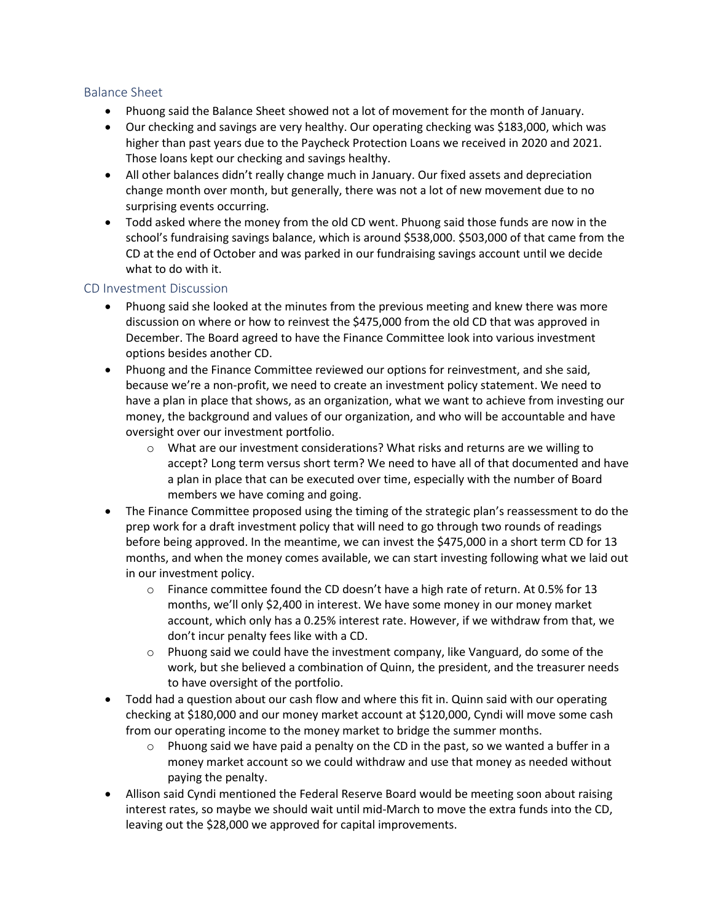### Balance Sheet

- Phuong said the Balance Sheet showed not a lot of movement for the month of January.
- Our checking and savings are very healthy. Our operating checking was \$183,000, which was higher than past years due to the Paycheck Protection Loans we received in 2020 and 2021. Those loans kept our checking and savings healthy.
- All other balances didn't really change much in January. Our fixed assets and depreciation change month over month, but generally, there was not a lot of new movement due to no surprising events occurring.
- Todd asked where the money from the old CD went. Phuong said those funds are now in the school's fundraising savings balance, which is around \$538,000. \$503,000 of that came from the CD at the end of October and was parked in our fundraising savings account until we decide what to do with it.

### CD Investment Discussion

- Phuong said she looked at the minutes from the previous meeting and knew there was more discussion on where or how to reinvest the \$475,000 from the old CD that was approved in December. The Board agreed to have the Finance Committee look into various investment options besides another CD.
- Phuong and the Finance Committee reviewed our options for reinvestment, and she said, because we're a non-profit, we need to create an investment policy statement. We need to have a plan in place that shows, as an organization, what we want to achieve from investing our money, the background and values of our organization, and who will be accountable and have oversight over our investment portfolio.
	- $\circ$  What are our investment considerations? What risks and returns are we willing to accept? Long term versus short term? We need to have all of that documented and have a plan in place that can be executed over time, especially with the number of Board members we have coming and going.
- The Finance Committee proposed using the timing of the strategic plan's reassessment to do the prep work for a draft investment policy that will need to go through two rounds of readings before being approved. In the meantime, we can invest the \$475,000 in a short term CD for 13 months, and when the money comes available, we can start investing following what we laid out in our investment policy.
	- $\circ$  Finance committee found the CD doesn't have a high rate of return. At 0.5% for 13 months, we'll only \$2,400 in interest. We have some money in our money market account, which only has a 0.25% interest rate. However, if we withdraw from that, we don't incur penalty fees like with a CD.
	- $\circ$  Phuong said we could have the investment company, like Vanguard, do some of the work, but she believed a combination of Quinn, the president, and the treasurer needs to have oversight of the portfolio.
- Todd had a question about our cash flow and where this fit in. Quinn said with our operating checking at \$180,000 and our money market account at \$120,000, Cyndi will move some cash from our operating income to the money market to bridge the summer months.
	- $\circ$  Phuong said we have paid a penalty on the CD in the past, so we wanted a buffer in a money market account so we could withdraw and use that money as needed without paying the penalty.
- Allison said Cyndi mentioned the Federal Reserve Board would be meeting soon about raising interest rates, so maybe we should wait until mid-March to move the extra funds into the CD, leaving out the \$28,000 we approved for capital improvements.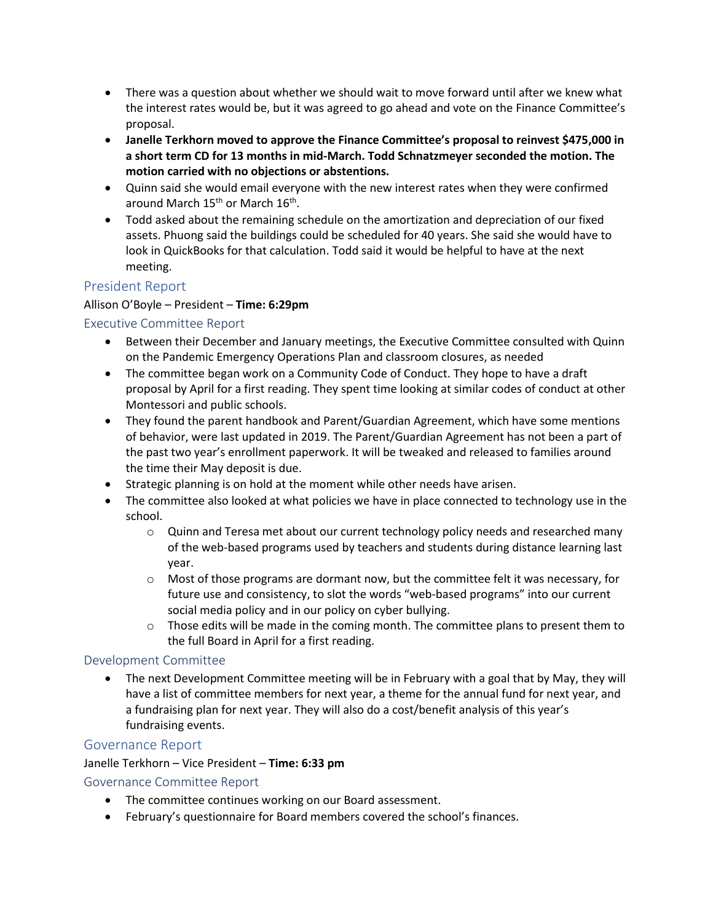- There was a question about whether we should wait to move forward until after we knew what the interest rates would be, but it was agreed to go ahead and vote on the Finance Committee's proposal.
- **Janelle Terkhorn moved to approve the Finance Committee's proposal to reinvest \$475,000 in a short term CD for 13 months in mid-March. Todd Schnatzmeyer seconded the motion. The motion carried with no objections or abstentions.**
- Quinn said she would email everyone with the new interest rates when they were confirmed around March 15<sup>th</sup> or March 16<sup>th</sup>.
- Todd asked about the remaining schedule on the amortization and depreciation of our fixed assets. Phuong said the buildings could be scheduled for 40 years. She said she would have to look in QuickBooks for that calculation. Todd said it would be helpful to have at the next meeting.

## President Report

### Allison O'Boyle – President – **Time: 6:29pm**

Executive Committee Report

- Between their December and January meetings, the Executive Committee consulted with Quinn on the Pandemic Emergency Operations Plan and classroom closures, as needed
- The committee began work on a Community Code of Conduct. They hope to have a draft proposal by April for a first reading. They spent time looking at similar codes of conduct at other Montessori and public schools.
- They found the parent handbook and Parent/Guardian Agreement, which have some mentions of behavior, were last updated in 2019. The Parent/Guardian Agreement has not been a part of the past two year's enrollment paperwork. It will be tweaked and released to families around the time their May deposit is due.
- Strategic planning is on hold at the moment while other needs have arisen.
- The committee also looked at what policies we have in place connected to technology use in the school.
	- $\circ$  Quinn and Teresa met about our current technology policy needs and researched many of the web-based programs used by teachers and students during distance learning last year.
	- $\circ$  Most of those programs are dormant now, but the committee felt it was necessary, for future use and consistency, to slot the words "web-based programs" into our current social media policy and in our policy on cyber bullying.
	- $\circ$  Those edits will be made in the coming month. The committee plans to present them to the full Board in April for a first reading.

### Development Committee

• The next Development Committee meeting will be in February with a goal that by May, they will have a list of committee members for next year, a theme for the annual fund for next year, and a fundraising plan for next year. They will also do a cost/benefit analysis of this year's fundraising events.

### Governance Report

### Janelle Terkhorn – Vice President – **Time: 6:33 pm**

### Governance Committee Report

- The committee continues working on our Board assessment.
- February's questionnaire for Board members covered the school's finances.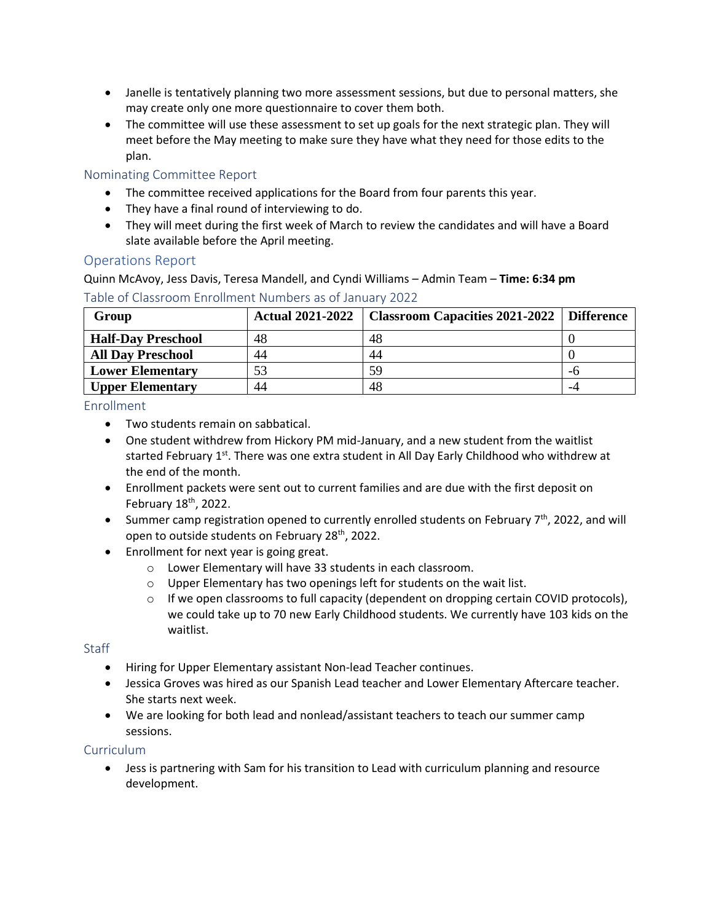- Janelle is tentatively planning two more assessment sessions, but due to personal matters, she may create only one more questionnaire to cover them both.
- The committee will use these assessment to set up goals for the next strategic plan. They will meet before the May meeting to make sure they have what they need for those edits to the plan.

### Nominating Committee Report

- The committee received applications for the Board from four parents this year.
- They have a final round of interviewing to do.
- They will meet during the first week of March to review the candidates and will have a Board slate available before the April meeting.

### Operations Report

Quinn McAvoy, Jess Davis, Teresa Mandell, and Cyndi Williams – Admin Team – **Time: 6:34 pm**

| Group                     | Actual 2021-2022 | <b>Classroom Capacities 2021-2022</b> Difference |    |
|---------------------------|------------------|--------------------------------------------------|----|
| <b>Half-Day Preschool</b> | 48               | 48                                               |    |
| <b>All Day Preschool</b>  | 44               | 44                                               |    |
| <b>Lower Elementary</b>   | 53               | 59                                               | -ი |
| <b>Upper Elementary</b>   | 44               | 48                                               | -4 |

## Table of Classroom Enrollment Numbers as of January 2022

### Enrollment

- Two students remain on sabbatical.
- One student withdrew from Hickory PM mid-January, and a new student from the waitlist started February 1<sup>st</sup>. There was one extra student in All Day Early Childhood who withdrew at the end of the month.
- Enrollment packets were sent out to current families and are due with the first deposit on February 18th, 2022.
- Summer camp registration opened to currently enrolled students on February  $7<sup>th</sup>$ , 2022, and will open to outside students on February 28<sup>th</sup>, 2022.
- Enrollment for next year is going great.
	- o Lower Elementary will have 33 students in each classroom.
	- o Upper Elementary has two openings left for students on the wait list.
	- $\circ$  If we open classrooms to full capacity (dependent on dropping certain COVID protocols), we could take up to 70 new Early Childhood students. We currently have 103 kids on the waitlist.

### **Staff**

- Hiring for Upper Elementary assistant Non-lead Teacher continues.
- Jessica Groves was hired as our Spanish Lead teacher and Lower Elementary Aftercare teacher. She starts next week.
- We are looking for both lead and nonlead/assistant teachers to teach our summer camp sessions.

### **Curriculum**

• Jess is partnering with Sam for his transition to Lead with curriculum planning and resource development.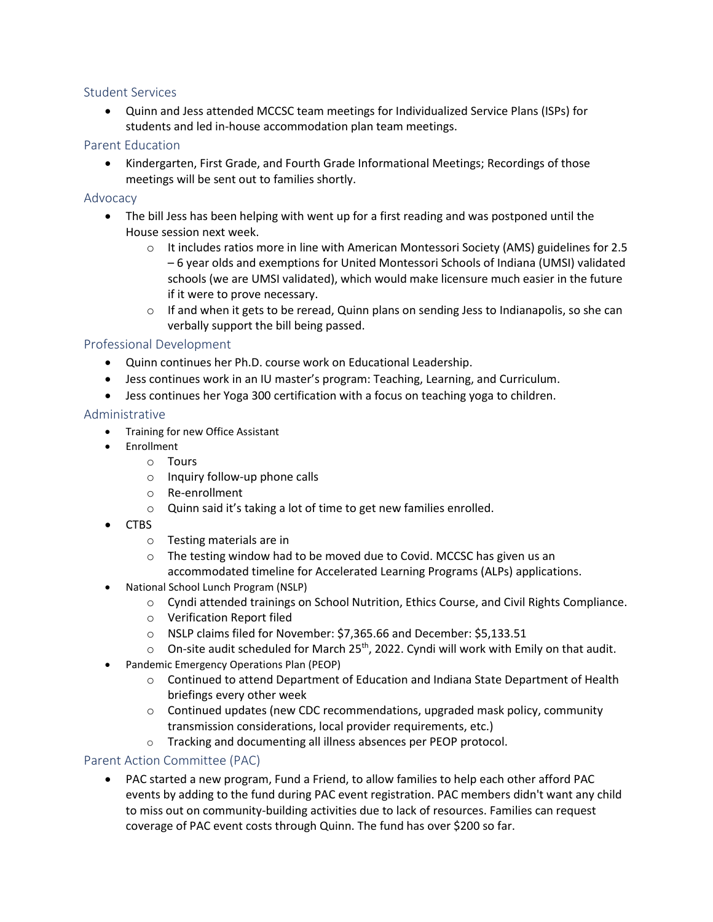### Student Services

• Quinn and Jess attended MCCSC team meetings for Individualized Service Plans (ISPs) for students and led in-house accommodation plan team meetings.

### Parent Education

• Kindergarten, First Grade, and Fourth Grade Informational Meetings; Recordings of those meetings will be sent out to families shortly.

### Advocacy

- The bill Jess has been helping with went up for a first reading and was postponed until the House session next week.
	- $\circ$  It includes ratios more in line with American Montessori Society (AMS) guidelines for 2.5 – 6 year olds and exemptions for United Montessori Schools of Indiana (UMSI) validated schools (we are UMSI validated), which would make licensure much easier in the future if it were to prove necessary.
	- $\circ$  If and when it gets to be reread, Quinn plans on sending Jess to Indianapolis, so she can verbally support the bill being passed.

### Professional Development

- Quinn continues her Ph.D. course work on Educational Leadership.
- Jess continues work in an IU master's program: Teaching, Learning, and Curriculum.
- Jess continues her Yoga 300 certification with a focus on teaching yoga to children.

### Administrative

- Training for new Office Assistant
- Enrollment
	- o Tours
	- o Inquiry follow-up phone calls
	- o Re-enrollment
	- o Quinn said it's taking a lot of time to get new families enrolled.
- CTBS
	- o Testing materials are in
	- $\circ$  The testing window had to be moved due to Covid. MCCSC has given us an accommodated timeline for Accelerated Learning Programs (ALPs) applications.
- National School Lunch Program (NSLP)
	- o Cyndi attended trainings on School Nutrition, Ethics Course, and Civil Rights Compliance.
	- o Verification Report filed
	- o NSLP claims filed for November: \$7,365.66 and December: \$5,133.51
	- $\circ$  On-site audit scheduled for March 25<sup>th</sup>, 2022. Cyndi will work with Emily on that audit.
- Pandemic Emergency Operations Plan (PEOP)
	- $\circ$  Continued to attend Department of Education and Indiana State Department of Health briefings every other week
	- $\circ$  Continued updates (new CDC recommendations, upgraded mask policy, community transmission considerations, local provider requirements, etc.)
	- o Tracking and documenting all illness absences per PEOP protocol.

### Parent Action Committee (PAC)

• PAC started a new program, Fund a Friend, to allow families to help each other afford PAC events by adding to the fund during PAC event registration. PAC members didn't want any child to miss out on community-building activities due to lack of resources. Families can request coverage of PAC event costs through Quinn. The fund has over \$200 so far.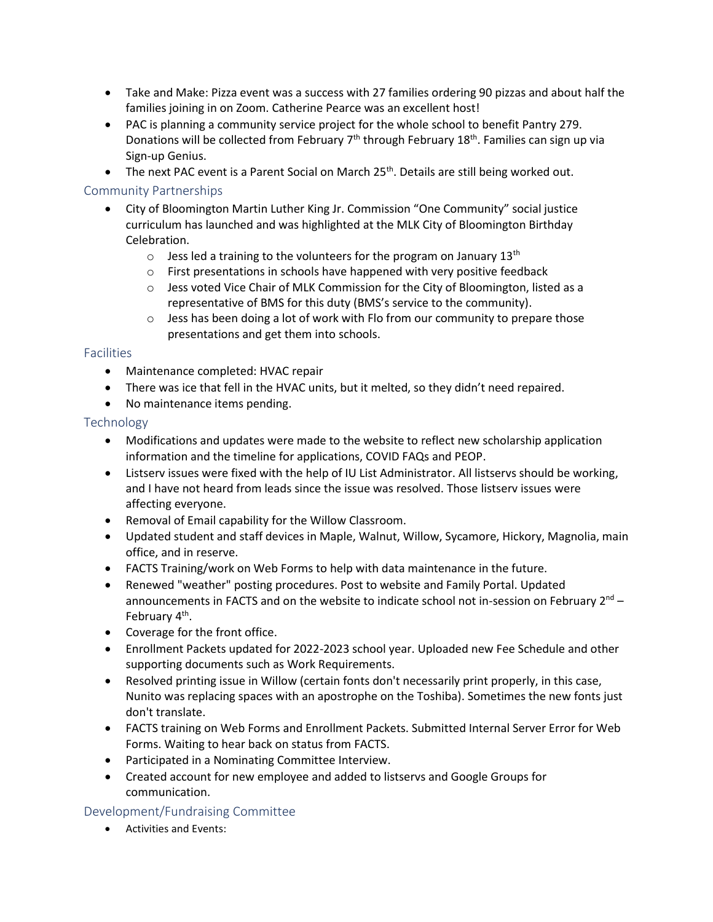- Take and Make: Pizza event was a success with 27 families ordering 90 pizzas and about half the families joining in on Zoom. Catherine Pearce was an excellent host!
- PAC is planning a community service project for the whole school to benefit Pantry 279. Donations will be collected from February 7<sup>th</sup> through February 18<sup>th</sup>. Families can sign up via Sign-up Genius.
- The next PAC event is a Parent Social on March 25<sup>th</sup>. Details are still being worked out.

### Community Partnerships

- City of Bloomington Martin Luther King Jr. Commission "One Community" social justice curriculum has launched and was highlighted at the MLK City of Bloomington Birthday Celebration.
	- $\circ$  Jess led a training to the volunteers for the program on January 13<sup>th</sup>
	- o First presentations in schools have happened with very positive feedback
	- $\circ$  Jess voted Vice Chair of MLK Commission for the City of Bloomington, listed as a representative of BMS for this duty (BMS's service to the community).
	- $\circ$  Jess has been doing a lot of work with Flo from our community to prepare those presentations and get them into schools.

### **Facilities**

- Maintenance completed: HVAC repair
- There was ice that fell in the HVAC units, but it melted, so they didn't need repaired.
- No maintenance items pending.

### Technology

- Modifications and updates were made to the website to reflect new scholarship application information and the timeline for applications, COVID FAQs and PEOP.
- Listserv issues were fixed with the help of IU List Administrator. All listservs should be working, and I have not heard from leads since the issue was resolved. Those listserv issues were affecting everyone.
- Removal of Email capability for the Willow Classroom.
- Updated student and staff devices in Maple, Walnut, Willow, Sycamore, Hickory, Magnolia, main office, and in reserve.
- FACTS Training/work on Web Forms to help with data maintenance in the future.
- Renewed "weather" posting procedures. Post to website and Family Portal. Updated announcements in FACTS and on the website to indicate school not in-session on February  $2<sup>nd</sup>$  – February 4<sup>th</sup>.
- Coverage for the front office.
- Enrollment Packets updated for 2022-2023 school year. Uploaded new Fee Schedule and other supporting documents such as Work Requirements.
- Resolved printing issue in Willow (certain fonts don't necessarily print properly, in this case, Nunito was replacing spaces with an apostrophe on the Toshiba). Sometimes the new fonts just don't translate.
- FACTS training on Web Forms and Enrollment Packets. Submitted Internal Server Error for Web Forms. Waiting to hear back on status from FACTS.
- Participated in a Nominating Committee Interview.
- Created account for new employee and added to listservs and Google Groups for communication.

### Development/Fundraising Committee

• Activities and Events: